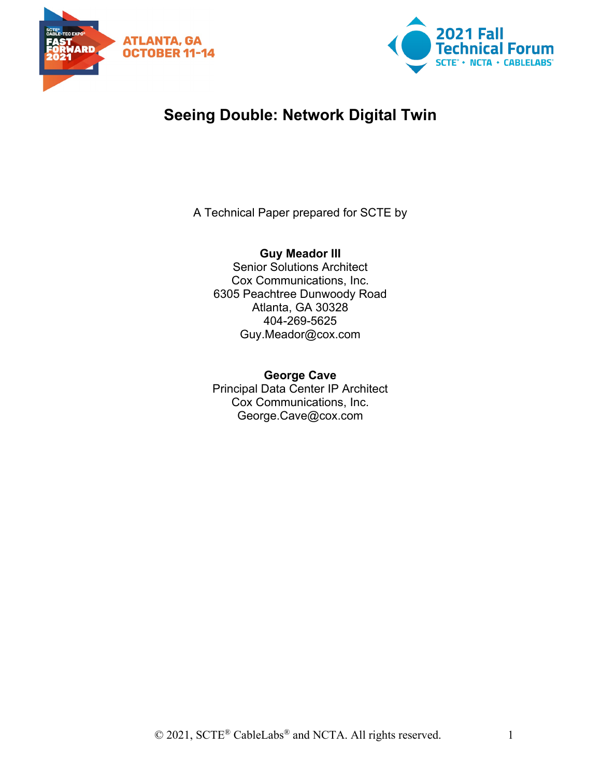



# **Seeing Double: Network Digital Twin**

A Technical Paper prepared for SCTE by

**Guy Meador III** Senior Solutions Architect Cox Communications, Inc. 6305 Peachtree Dunwoody Road Atlanta, GA 30328 404-269-5625 Guy.Meador@cox.com

**George Cave** Principal Data Center IP Architect Cox Communications, Inc. George.Cave@cox.com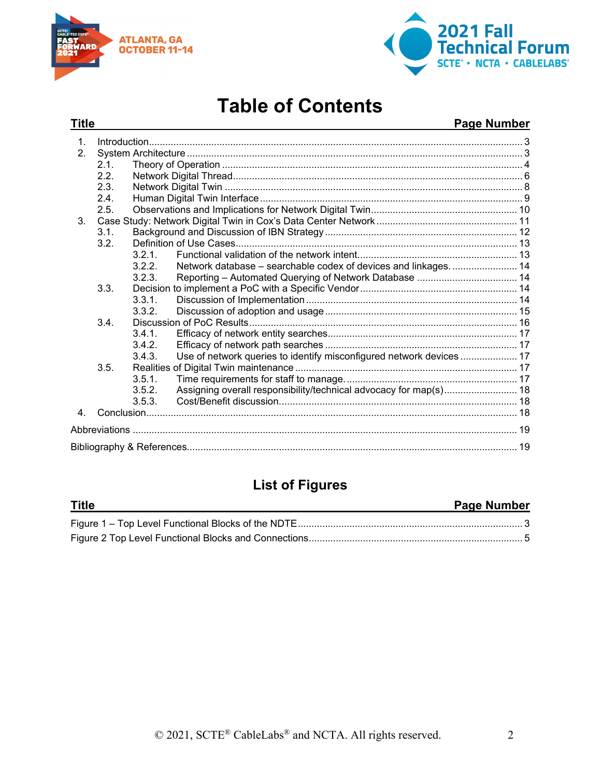



# **Table of Contents**

# **Title Page Number**

| $\int_0^{\infty} \frac{1}{2} \int_0^{\infty} \frac{1}{2} \int_0^{\infty} \frac{1}{2} \int_0^{\infty} \frac{1}{2} \int_0^{\infty} \frac{1}{2} \int_0^{\infty} \frac{1}{2} \int_0^{\infty} \frac{1}{2} \int_0^{\infty} \frac{1}{2} \int_0^{\infty} \frac{1}{2} \int_0^{\infty} \frac{1}{2} \int_0^{\infty} \frac{1}{2} \int_0^{\infty} \frac{1}{2} \int_0^{\infty} \frac{1}{2} \int_0^{\infty} \frac{$<br>$\mathbf{1}$ . |      |        |                                                                      |  |  |
|------------------------------------------------------------------------------------------------------------------------------------------------------------------------------------------------------------------------------------------------------------------------------------------------------------------------------------------------------------------------------------------------------------------------|------|--------|----------------------------------------------------------------------|--|--|
| 2 <sub>1</sub>                                                                                                                                                                                                                                                                                                                                                                                                         |      |        |                                                                      |  |  |
|                                                                                                                                                                                                                                                                                                                                                                                                                        | 2.1. |        |                                                                      |  |  |
|                                                                                                                                                                                                                                                                                                                                                                                                                        | 2.2. |        |                                                                      |  |  |
|                                                                                                                                                                                                                                                                                                                                                                                                                        | 2.3. |        |                                                                      |  |  |
|                                                                                                                                                                                                                                                                                                                                                                                                                        | 2.4  |        |                                                                      |  |  |
|                                                                                                                                                                                                                                                                                                                                                                                                                        | 2.5. |        |                                                                      |  |  |
| 3.                                                                                                                                                                                                                                                                                                                                                                                                                     |      |        |                                                                      |  |  |
|                                                                                                                                                                                                                                                                                                                                                                                                                        | 3.1. |        |                                                                      |  |  |
|                                                                                                                                                                                                                                                                                                                                                                                                                        | 3.2. |        |                                                                      |  |  |
|                                                                                                                                                                                                                                                                                                                                                                                                                        |      | 3.2.1  |                                                                      |  |  |
|                                                                                                                                                                                                                                                                                                                                                                                                                        |      | 3.2.2. | Network database - searchable codex of devices and linkages 14       |  |  |
|                                                                                                                                                                                                                                                                                                                                                                                                                        |      | 3.2.3. |                                                                      |  |  |
|                                                                                                                                                                                                                                                                                                                                                                                                                        | 3.3. |        |                                                                      |  |  |
|                                                                                                                                                                                                                                                                                                                                                                                                                        |      | 3.3.1. |                                                                      |  |  |
|                                                                                                                                                                                                                                                                                                                                                                                                                        |      | 3.3.2. |                                                                      |  |  |
|                                                                                                                                                                                                                                                                                                                                                                                                                        | 3.4. |        |                                                                      |  |  |
|                                                                                                                                                                                                                                                                                                                                                                                                                        |      | 3.4.1  |                                                                      |  |  |
|                                                                                                                                                                                                                                                                                                                                                                                                                        |      | 3.4.2. |                                                                      |  |  |
|                                                                                                                                                                                                                                                                                                                                                                                                                        |      | 3.4.3. | Use of network queries to identify misconfigured network devices  17 |  |  |
|                                                                                                                                                                                                                                                                                                                                                                                                                        | 3.5. |        |                                                                      |  |  |
|                                                                                                                                                                                                                                                                                                                                                                                                                        |      | 3.5.1  |                                                                      |  |  |
|                                                                                                                                                                                                                                                                                                                                                                                                                        |      | 3.5.2. | Assigning overall responsibility/technical advocacy for map(s) 18    |  |  |
|                                                                                                                                                                                                                                                                                                                                                                                                                        |      | 3.5.3. |                                                                      |  |  |
| 4                                                                                                                                                                                                                                                                                                                                                                                                                      |      |        |                                                                      |  |  |
|                                                                                                                                                                                                                                                                                                                                                                                                                        |      |        |                                                                      |  |  |
|                                                                                                                                                                                                                                                                                                                                                                                                                        |      |        |                                                                      |  |  |

# **List of Figures**

| Title | <b>Page Number</b> |
|-------|--------------------|
|       |                    |
|       |                    |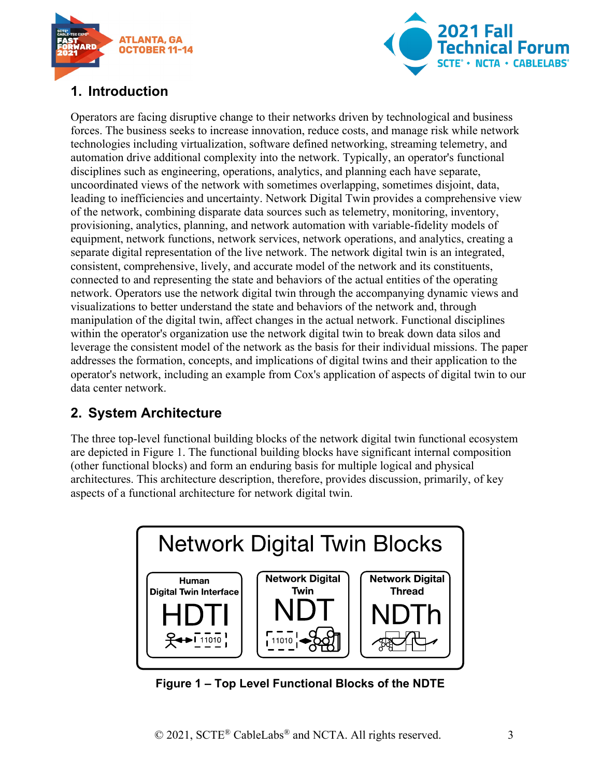



# <span id="page-2-0"></span>**1. Introduction**

Operators are facing disruptive change to their networks driven by technological and business forces. The business seeks to increase innovation, reduce costs, and manage risk while network technologies including virtualization, software defined networking, streaming telemetry, and automation drive additional complexity into the network. Typically, an operator's functional disciplines such as engineering, operations, analytics, and planning each have separate, uncoordinated views of the network with sometimes overlapping, sometimes disjoint, data, leading to inefficiencies and uncertainty. Network Digital Twin provides a comprehensive view of the network, combining disparate data sources such as telemetry, monitoring, inventory, provisioning, analytics, planning, and network automation with variable-fidelity models of equipment, network functions, network services, network operations, and analytics, creating a separate digital representation of the live network. The network digital twin is an integrated, consistent, comprehensive, lively, and accurate model of the network and its constituents, connected to and representing the state and behaviors of the actual entities of the operating network. Operators use the network digital twin through the accompanying dynamic views and visualizations to better understand the state and behaviors of the network and, through manipulation of the digital twin, affect changes in the actual network. Functional disciplines within the operator's organization use the network digital twin to break down data silos and leverage the consistent model of the network as the basis for their individual missions. The paper addresses the formation, concepts, and implications of digital twins and their application to the operator's network, including an example from Cox's application of aspects of digital twin to our data center network.

# <span id="page-2-1"></span>**2. System Architecture**

The three top-level functional building blocks of the network digital twin functional ecosystem are depicted in [Figure 1.](#page-2-2) The functional building blocks have significant internal composition (other functional blocks) and form an enduring basis for multiple logical and physical architectures. This architecture description, therefore, provides discussion, primarily, of key aspects of a functional architecture for network digital twin.



<span id="page-2-2"></span>**Figure 1 – Top Level Functional Blocks of the NDTE**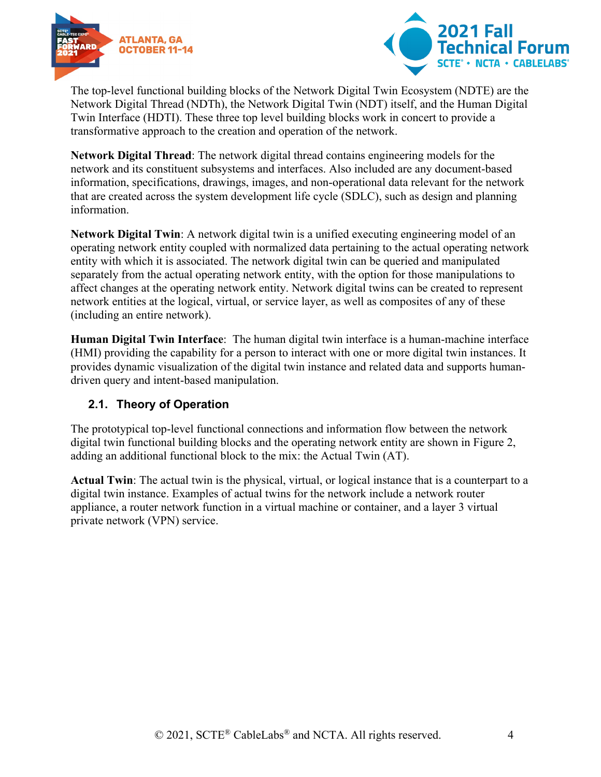



The top-level functional building blocks of the Network Digital Twin Ecosystem (NDTE) are the Network Digital Thread (NDTh), the Network Digital Twin (NDT) itself, and the Human Digital Twin Interface (HDTI). These three top level building blocks work in concert to provide a transformative approach to the creation and operation of the network.

**Network Digital Thread**: The network digital thread contains engineering models for the network and its constituent subsystems and interfaces. Also included are any document-based information, specifications, drawings, images, and non-operational data relevant for the network that are created across the system development life cycle (SDLC), such as design and planning information.

**Network Digital Twin**: A network digital twin is a unified executing engineering model of an operating network entity coupled with normalized data pertaining to the actual operating network entity with which it is associated. The network digital twin can be queried and manipulated separately from the actual operating network entity, with the option for those manipulations to affect changes at the operating network entity. Network digital twins can be created to represent network entities at the logical, virtual, or service layer, as well as composites of any of these (including an entire network).

**Human Digital Twin Interface**: The human digital twin interface is a human-machine interface (HMI) providing the capability for a person to interact with one or more digital twin instances. It provides dynamic visualization of the digital twin instance and related data and supports humandriven query and intent-based manipulation.

# <span id="page-3-0"></span>**2.1. Theory of Operation**

The prototypical top-level functional connections and information flow between the network digital twin functional building blocks and the operating network entity are shown in [Figure 2,](#page-4-0) adding an additional functional block to the mix: the Actual Twin (AT).

**Actual Twin**: The actual twin is the physical, virtual, or logical instance that is a counterpart to a digital twin instance. Examples of actual twins for the network include a network router appliance, a router network function in a virtual machine or container, and a layer 3 virtual private network (VPN) service.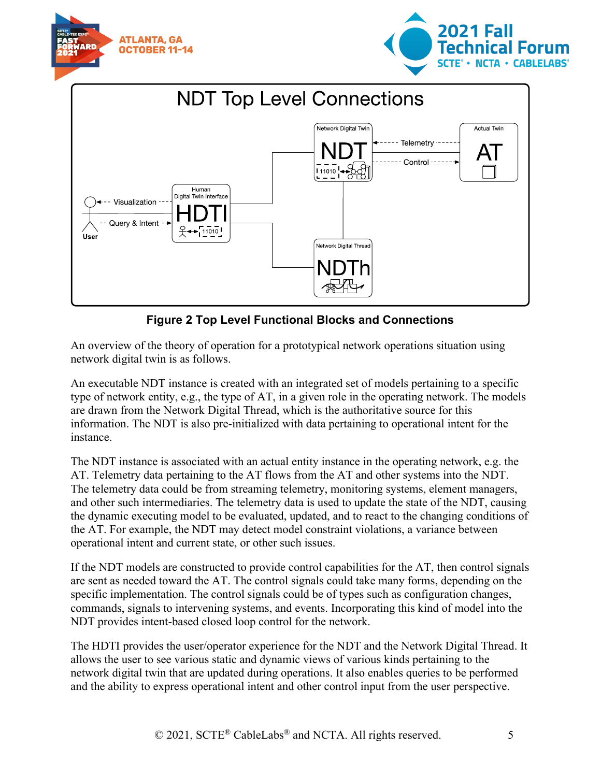





# **Figure 2 Top Level Functional Blocks and Connections**

<span id="page-4-0"></span>An overview of the theory of operation for a prototypical network operations situation using network digital twin is as follows.

An executable NDT instance is created with an integrated set of models pertaining to a specific type of network entity, e.g., the type of AT, in a given role in the operating network. The models are drawn from the Network Digital Thread, which is the authoritative source for this information. The NDT is also pre-initialized with data pertaining to operational intent for the instance.

The NDT instance is associated with an actual entity instance in the operating network, e.g. the AT. Telemetry data pertaining to the AT flows from the AT and other systems into the NDT. The telemetry data could be from streaming telemetry, monitoring systems, element managers, and other such intermediaries. The telemetry data is used to update the state of the NDT, causing the dynamic executing model to be evaluated, updated, and to react to the changing conditions of the AT. For example, the NDT may detect model constraint violations, a variance between operational intent and current state, or other such issues.

If the NDT models are constructed to provide control capabilities for the AT, then control signals are sent as needed toward the AT. The control signals could take many forms, depending on the specific implementation. The control signals could be of types such as configuration changes, commands, signals to intervening systems, and events. Incorporating this kind of model into the NDT provides intent-based closed loop control for the network.

The HDTI provides the user/operator experience for the NDT and the Network Digital Thread. It allows the user to see various static and dynamic views of various kinds pertaining to the network digital twin that are updated during operations. It also enables queries to be performed and the ability to express operational intent and other control input from the user perspective.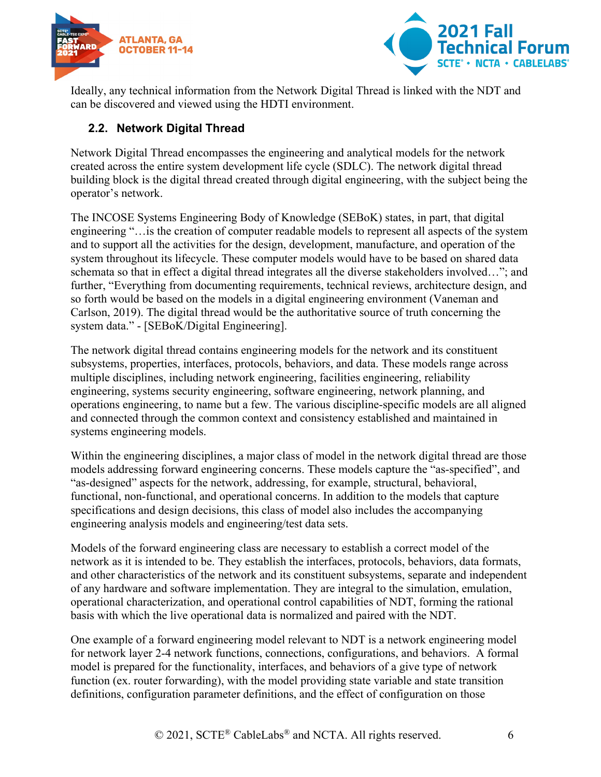



Ideally, any technical information from the Network Digital Thread is linked with the NDT and can be discovered and viewed using the HDTI environment.

# <span id="page-5-0"></span>**2.2. Network Digital Thread**

Network Digital Thread encompasses the engineering and analytical models for the network created across the entire system development life cycle (SDLC). The network digital thread building block is the digital thread created through digital engineering, with the subject being the operator's network.

The INCOSE Systems Engineering Body of Knowledge (SEBoK) states, in part, that digital engineering "…is the creation of computer readable models to represent all aspects of the system and to support all the activities for the design, development, manufacture, and operation of the system throughout its lifecycle. These computer models would have to be based on shared data schemata so that in effect a digital thread integrates all the diverse stakeholders involved…"; and further, "Everything from documenting requirements, technical reviews, architecture design, and so forth would be based on the models in a digital engineering environment (Vaneman and Carlson, 2019). The digital thread would be the authoritative source of truth concerning the system data." - [SEBoK/Digital Engineering].

The network digital thread contains engineering models for the network and its constituent subsystems, properties, interfaces, protocols, behaviors, and data. These models range across multiple disciplines, including network engineering, facilities engineering, reliability engineering, systems security engineering, software engineering, network planning, and operations engineering, to name but a few. The various discipline-specific models are all aligned and connected through the common context and consistency established and maintained in systems engineering models.

Within the engineering disciplines, a major class of model in the network digital thread are those models addressing forward engineering concerns. These models capture the "as-specified", and "as-designed" aspects for the network, addressing, for example, structural, behavioral, functional, non-functional, and operational concerns. In addition to the models that capture specifications and design decisions, this class of model also includes the accompanying engineering analysis models and engineering/test data sets.

Models of the forward engineering class are necessary to establish a correct model of the network as it is intended to be. They establish the interfaces, protocols, behaviors, data formats, and other characteristics of the network and its constituent subsystems, separate and independent of any hardware and software implementation. They are integral to the simulation, emulation, operational characterization, and operational control capabilities of NDT, forming the rational basis with which the live operational data is normalized and paired with the NDT.

One example of a forward engineering model relevant to NDT is a network engineering model for network layer 2-4 network functions, connections, configurations, and behaviors. A formal model is prepared for the functionality, interfaces, and behaviors of a give type of network function (ex. router forwarding), with the model providing state variable and state transition definitions, configuration parameter definitions, and the effect of configuration on those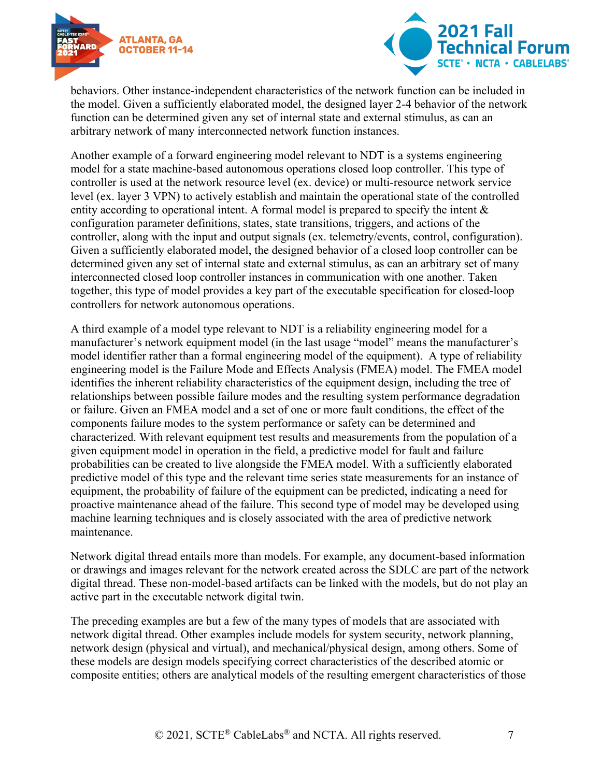



behaviors. Other instance-independent characteristics of the network function can be included in the model. Given a sufficiently elaborated model, the designed layer 2-4 behavior of the network function can be determined given any set of internal state and external stimulus, as can an arbitrary network of many interconnected network function instances.

Another example of a forward engineering model relevant to NDT is a systems engineering model for a state machine-based autonomous operations closed loop controller. This type of controller is used at the network resource level (ex. device) or multi-resource network service level (ex. layer 3 VPN) to actively establish and maintain the operational state of the controlled entity according to operational intent. A formal model is prepared to specify the intent & configuration parameter definitions, states, state transitions, triggers, and actions of the controller, along with the input and output signals (ex. telemetry/events, control, configuration). Given a sufficiently elaborated model, the designed behavior of a closed loop controller can be determined given any set of internal state and external stimulus, as can an arbitrary set of many interconnected closed loop controller instances in communication with one another. Taken together, this type of model provides a key part of the executable specification for closed-loop controllers for network autonomous operations.

A third example of a model type relevant to NDT is a reliability engineering model for a manufacturer's network equipment model (in the last usage "model" means the manufacturer's model identifier rather than a formal engineering model of the equipment). A type of reliability engineering model is the Failure Mode and Effects Analysis (FMEA) model. The FMEA model identifies the inherent reliability characteristics of the equipment design, including the tree of relationships between possible failure modes and the resulting system performance degradation or failure. Given an FMEA model and a set of one or more fault conditions, the effect of the components failure modes to the system performance or safety can be determined and characterized. With relevant equipment test results and measurements from the population of a given equipment model in operation in the field, a predictive model for fault and failure probabilities can be created to live alongside the FMEA model. With a sufficiently elaborated predictive model of this type and the relevant time series state measurements for an instance of equipment, the probability of failure of the equipment can be predicted, indicating a need for proactive maintenance ahead of the failure. This second type of model may be developed using machine learning techniques and is closely associated with the area of predictive network maintenance.

Network digital thread entails more than models. For example, any document-based information or drawings and images relevant for the network created across the SDLC are part of the network digital thread. These non-model-based artifacts can be linked with the models, but do not play an active part in the executable network digital twin.

The preceding examples are but a few of the many types of models that are associated with network digital thread. Other examples include models for system security, network planning, network design (physical and virtual), and mechanical/physical design, among others. Some of these models are design models specifying correct characteristics of the described atomic or composite entities; others are analytical models of the resulting emergent characteristics of those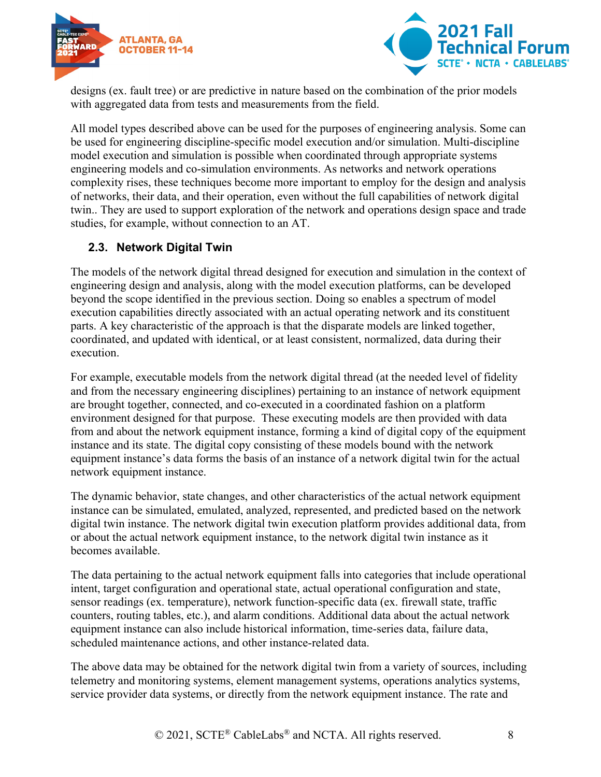



designs (ex. fault tree) or are predictive in nature based on the combination of the prior models with aggregated data from tests and measurements from the field.

All model types described above can be used for the purposes of engineering analysis. Some can be used for engineering discipline-specific model execution and/or simulation. Multi-discipline model execution and simulation is possible when coordinated through appropriate systems engineering models and co-simulation environments. As networks and network operations complexity rises, these techniques become more important to employ for the design and analysis of networks, their data, and their operation, even without the full capabilities of network digital twin.. They are used to support exploration of the network and operations design space and trade studies, for example, without connection to an AT.

#### <span id="page-7-0"></span>**2.3. Network Digital Twin**

The models of the network digital thread designed for execution and simulation in the context of engineering design and analysis, along with the model execution platforms, can be developed beyond the scope identified in the previous section. Doing so enables a spectrum of model execution capabilities directly associated with an actual operating network and its constituent parts. A key characteristic of the approach is that the disparate models are linked together, coordinated, and updated with identical, or at least consistent, normalized, data during their execution.

For example, executable models from the network digital thread (at the needed level of fidelity and from the necessary engineering disciplines) pertaining to an instance of network equipment are brought together, connected, and co-executed in a coordinated fashion on a platform environment designed for that purpose. These executing models are then provided with data from and about the network equipment instance, forming a kind of digital copy of the equipment instance and its state. The digital copy consisting of these models bound with the network equipment instance's data forms the basis of an instance of a network digital twin for the actual network equipment instance.

The dynamic behavior, state changes, and other characteristics of the actual network equipment instance can be simulated, emulated, analyzed, represented, and predicted based on the network digital twin instance. The network digital twin execution platform provides additional data, from or about the actual network equipment instance, to the network digital twin instance as it becomes available.

The data pertaining to the actual network equipment falls into categories that include operational intent, target configuration and operational state, actual operational configuration and state, sensor readings (ex. temperature), network function-specific data (ex. firewall state, traffic counters, routing tables, etc.), and alarm conditions. Additional data about the actual network equipment instance can also include historical information, time-series data, failure data, scheduled maintenance actions, and other instance-related data.

The above data may be obtained for the network digital twin from a variety of sources, including telemetry and monitoring systems, element management systems, operations analytics systems, service provider data systems, or directly from the network equipment instance. The rate and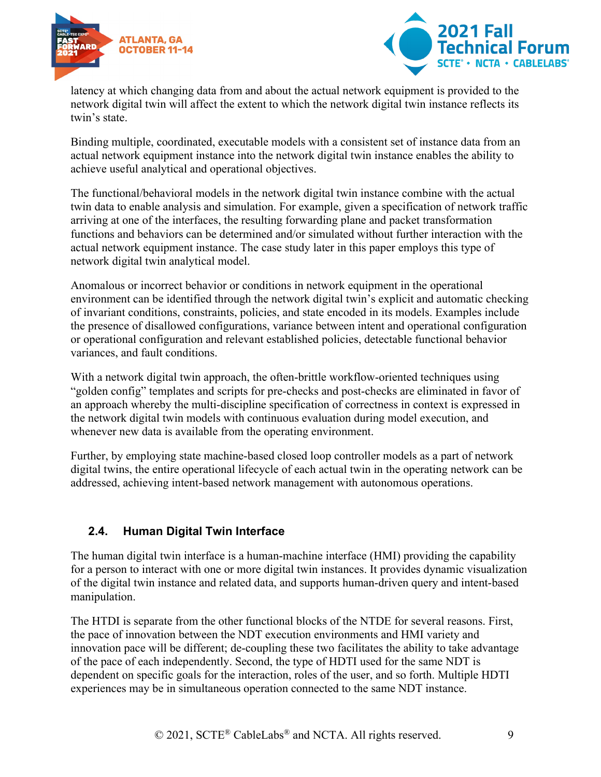



latency at which changing data from and about the actual network equipment is provided to the network digital twin will affect the extent to which the network digital twin instance reflects its twin's state.

Binding multiple, coordinated, executable models with a consistent set of instance data from an actual network equipment instance into the network digital twin instance enables the ability to achieve useful analytical and operational objectives.

The functional/behavioral models in the network digital twin instance combine with the actual twin data to enable analysis and simulation. For example, given a specification of network traffic arriving at one of the interfaces, the resulting forwarding plane and packet transformation functions and behaviors can be determined and/or simulated without further interaction with the actual network equipment instance. The case study later in this paper employs this type of network digital twin analytical model.

Anomalous or incorrect behavior or conditions in network equipment in the operational environment can be identified through the network digital twin's explicit and automatic checking of invariant conditions, constraints, policies, and state encoded in its models. Examples include the presence of disallowed configurations, variance between intent and operational configuration or operational configuration and relevant established policies, detectable functional behavior variances, and fault conditions.

With a network digital twin approach, the often-brittle workflow-oriented techniques using "golden config" templates and scripts for pre-checks and post-checks are eliminated in favor of an approach whereby the multi-discipline specification of correctness in context is expressed in the network digital twin models with continuous evaluation during model execution, and whenever new data is available from the operating environment.

Further, by employing state machine-based closed loop controller models as a part of network digital twins, the entire operational lifecycle of each actual twin in the operating network can be addressed, achieving intent-based network management with autonomous operations.

# <span id="page-8-0"></span>**2.4. Human Digital Twin Interface**

The human digital twin interface is a human-machine interface (HMI) providing the capability for a person to interact with one or more digital twin instances. It provides dynamic visualization of the digital twin instance and related data, and supports human-driven query and intent-based manipulation.

The HTDI is separate from the other functional blocks of the NTDE for several reasons. First, the pace of innovation between the NDT execution environments and HMI variety and innovation pace will be different; de-coupling these two facilitates the ability to take advantage of the pace of each independently. Second, the type of HDTI used for the same NDT is dependent on specific goals for the interaction, roles of the user, and so forth. Multiple HDTI experiences may be in simultaneous operation connected to the same NDT instance.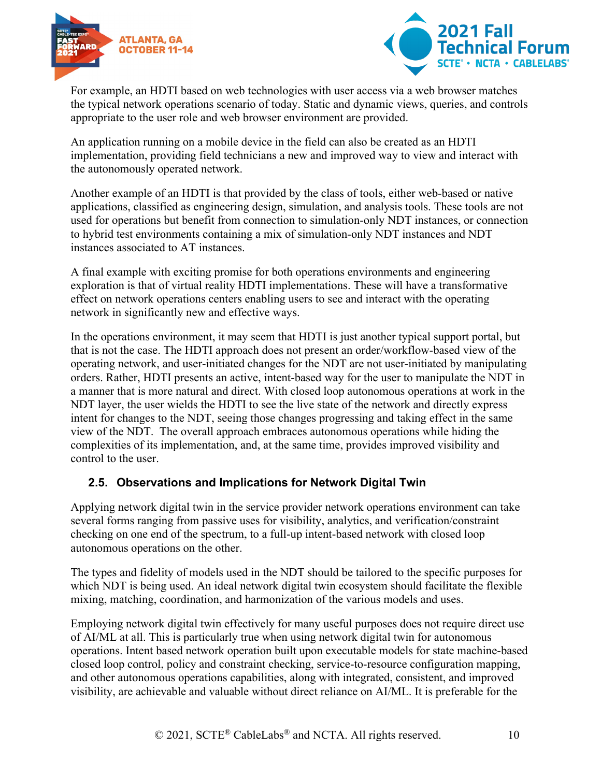



For example, an HDTI based on web technologies with user access via a web browser matches the typical network operations scenario of today. Static and dynamic views, queries, and controls appropriate to the user role and web browser environment are provided.

An application running on a mobile device in the field can also be created as an HDTI implementation, providing field technicians a new and improved way to view and interact with the autonomously operated network.

Another example of an HDTI is that provided by the class of tools, either web-based or native applications, classified as engineering design, simulation, and analysis tools. These tools are not used for operations but benefit from connection to simulation-only NDT instances, or connection to hybrid test environments containing a mix of simulation-only NDT instances and NDT instances associated to AT instances.

A final example with exciting promise for both operations environments and engineering exploration is that of virtual reality HDTI implementations. These will have a transformative effect on network operations centers enabling users to see and interact with the operating network in significantly new and effective ways.

In the operations environment, it may seem that HDTI is just another typical support portal, but that is not the case. The HDTI approach does not present an order/workflow-based view of the operating network, and user-initiated changes for the NDT are not user-initiated by manipulating orders. Rather, HDTI presents an active, intent-based way for the user to manipulate the NDT in a manner that is more natural and direct. With closed loop autonomous operations at work in the NDT layer, the user wields the HDTI to see the live state of the network and directly express intent for changes to the NDT, seeing those changes progressing and taking effect in the same view of the NDT. The overall approach embraces autonomous operations while hiding the complexities of its implementation, and, at the same time, provides improved visibility and control to the user.

#### <span id="page-9-0"></span>**2.5. Observations and Implications for Network Digital Twin**

Applying network digital twin in the service provider network operations environment can take several forms ranging from passive uses for visibility, analytics, and verification/constraint checking on one end of the spectrum, to a full-up intent-based network with closed loop autonomous operations on the other.

The types and fidelity of models used in the NDT should be tailored to the specific purposes for which NDT is being used. An ideal network digital twin ecosystem should facilitate the flexible mixing, matching, coordination, and harmonization of the various models and uses.

Employing network digital twin effectively for many useful purposes does not require direct use of AI/ML at all. This is particularly true when using network digital twin for autonomous operations. Intent based network operation built upon executable models for state machine-based closed loop control, policy and constraint checking, service-to-resource configuration mapping, and other autonomous operations capabilities, along with integrated, consistent, and improved visibility, are achievable and valuable without direct reliance on AI/ML. It is preferable for the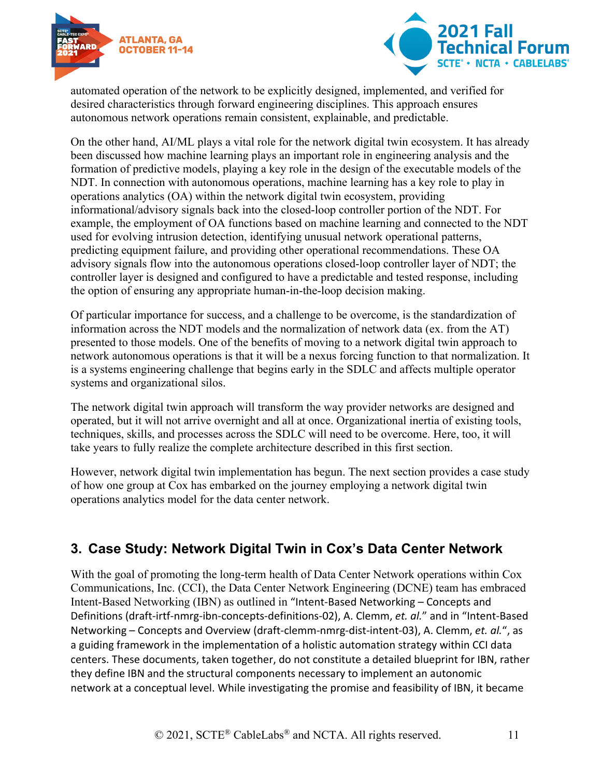



automated operation of the network to be explicitly designed, implemented, and verified for desired characteristics through forward engineering disciplines. This approach ensures autonomous network operations remain consistent, explainable, and predictable.

On the other hand, AI/ML plays a vital role for the network digital twin ecosystem. It has already been discussed how machine learning plays an important role in engineering analysis and the formation of predictive models, playing a key role in the design of the executable models of the NDT. In connection with autonomous operations, machine learning has a key role to play in operations analytics (OA) within the network digital twin ecosystem, providing informational/advisory signals back into the closed-loop controller portion of the NDT. For example, the employment of OA functions based on machine learning and connected to the NDT used for evolving intrusion detection, identifying unusual network operational patterns, predicting equipment failure, and providing other operational recommendations. These OA advisory signals flow into the autonomous operations closed-loop controller layer of NDT; the controller layer is designed and configured to have a predictable and tested response, including the option of ensuring any appropriate human-in-the-loop decision making.

Of particular importance for success, and a challenge to be overcome, is the standardization of information across the NDT models and the normalization of network data (ex. from the AT) presented to those models. One of the benefits of moving to a network digital twin approach to network autonomous operations is that it will be a nexus forcing function to that normalization. It is a systems engineering challenge that begins early in the SDLC and affects multiple operator systems and organizational silos.

The network digital twin approach will transform the way provider networks are designed and operated, but it will not arrive overnight and all at once. Organizational inertia of existing tools, techniques, skills, and processes across the SDLC will need to be overcome. Here, too, it will take years to fully realize the complete architecture described in this first section.

However, network digital twin implementation has begun. The next section provides a case study of how one group at Cox has embarked on the journey employing a network digital twin operations analytics model for the data center network.

# <span id="page-10-0"></span>**3. Case Study: Network Digital Twin in Cox's Data Center Network**

With the goal of promoting the long-term health of Data Center Network operations within Cox Communications, Inc. (CCI), the Data Center Network Engineering (DCNE) team has embraced Intent-Based Networking (IBN) as outlined in "Intent-Based Networking – Concepts and Definitions (draft-irtf-nmrg-ibn-concepts-definitions-02), A. Clemm, *et. al.*" and in "Intent-Based Networking – Concepts and Overview (draft-clemm-nmrg-dist-intent-03), A. Clemm, *et. al.*", as a guiding framework in the implementation of a holistic automation strategy within CCI data centers. These documents, taken together, do not constitute a detailed blueprint for IBN, rather they define IBN and the structural components necessary to implement an autonomic network at a conceptual level. While investigating the promise and feasibility of IBN, it became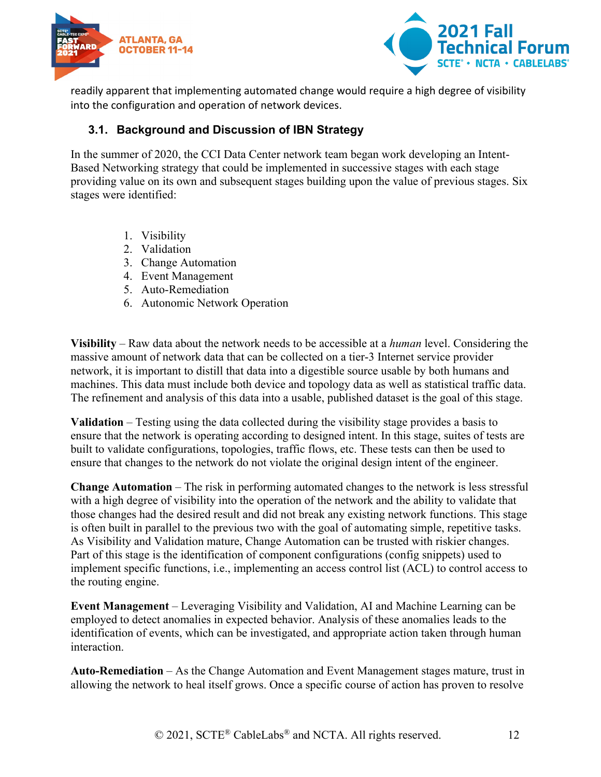



readily apparent that implementing automated change would require a high degree of visibility into the configuration and operation of network devices.

#### <span id="page-11-0"></span>**3.1. Background and Discussion of IBN Strategy**

In the summer of 2020, the CCI Data Center network team began work developing an Intent-Based Networking strategy that could be implemented in successive stages with each stage providing value on its own and subsequent stages building upon the value of previous stages. Six stages were identified:

- 1. Visibility
- 2. Validation
- 3. Change Automation
- 4. Event Management
- 5. Auto-Remediation
- 6. Autonomic Network Operation

**Visibility** – Raw data about the network needs to be accessible at a *human* level. Considering the massive amount of network data that can be collected on a tier-3 Internet service provider network, it is important to distill that data into a digestible source usable by both humans and machines. This data must include both device and topology data as well as statistical traffic data. The refinement and analysis of this data into a usable, published dataset is the goal of this stage.

**Validation** – Testing using the data collected during the visibility stage provides a basis to ensure that the network is operating according to designed intent. In this stage, suites of tests are built to validate configurations, topologies, traffic flows, etc. These tests can then be used to ensure that changes to the network do not violate the original design intent of the engineer.

**Change Automation** – The risk in performing automated changes to the network is less stressful with a high degree of visibility into the operation of the network and the ability to validate that those changes had the desired result and did not break any existing network functions. This stage is often built in parallel to the previous two with the goal of automating simple, repetitive tasks. As Visibility and Validation mature, Change Automation can be trusted with riskier changes. Part of this stage is the identification of component configurations (config snippets) used to implement specific functions, i.e., implementing an access control list (ACL) to control access to the routing engine.

**Event Management** – Leveraging Visibility and Validation, AI and Machine Learning can be employed to detect anomalies in expected behavior. Analysis of these anomalies leads to the identification of events, which can be investigated, and appropriate action taken through human interaction.

**Auto-Remediation** – As the Change Automation and Event Management stages mature, trust in allowing the network to heal itself grows. Once a specific course of action has proven to resolve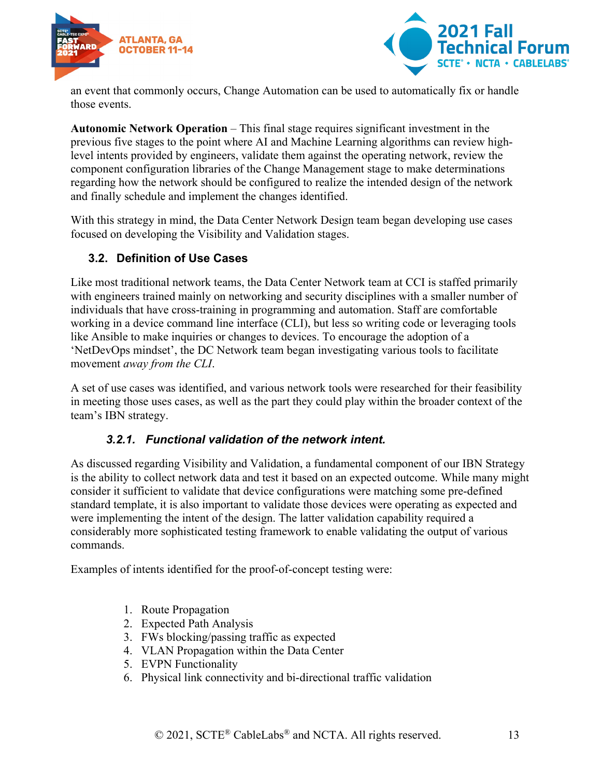



an event that commonly occurs, Change Automation can be used to automatically fix or handle those events.

**Autonomic Network Operation** – This final stage requires significant investment in the previous five stages to the point where AI and Machine Learning algorithms can review highlevel intents provided by engineers, validate them against the operating network, review the component configuration libraries of the Change Management stage to make determinations regarding how the network should be configured to realize the intended design of the network and finally schedule and implement the changes identified.

With this strategy in mind, the Data Center Network Design team began developing use cases focused on developing the Visibility and Validation stages.

#### <span id="page-12-0"></span>**3.2. Definition of Use Cases**

Like most traditional network teams, the Data Center Network team at CCI is staffed primarily with engineers trained mainly on networking and security disciplines with a smaller number of individuals that have cross-training in programming and automation. Staff are comfortable working in a device command line interface (CLI), but less so writing code or leveraging tools like Ansible to make inquiries or changes to devices. To encourage the adoption of a 'NetDevOps mindset', the DC Network team began investigating various tools to facilitate movement *away from the CLI*.

A set of use cases was identified, and various network tools were researched for their feasibility in meeting those uses cases, as well as the part they could play within the broader context of the team's IBN strategy.

#### *3.2.1. Functional validation of the network intent.*

<span id="page-12-1"></span>As discussed regarding Visibility and Validation, a fundamental component of our IBN Strategy is the ability to collect network data and test it based on an expected outcome. While many might consider it sufficient to validate that device configurations were matching some pre-defined standard template, it is also important to validate those devices were operating as expected and were implementing the intent of the design. The latter validation capability required a considerably more sophisticated testing framework to enable validating the output of various commands.

Examples of intents identified for the proof-of-concept testing were:

- 1. Route Propagation
- 2. Expected Path Analysis
- 3. FWs blocking/passing traffic as expected
- 4. VLAN Propagation within the Data Center
- 5. EVPN Functionality
- 6. Physical link connectivity and bi-directional traffic validation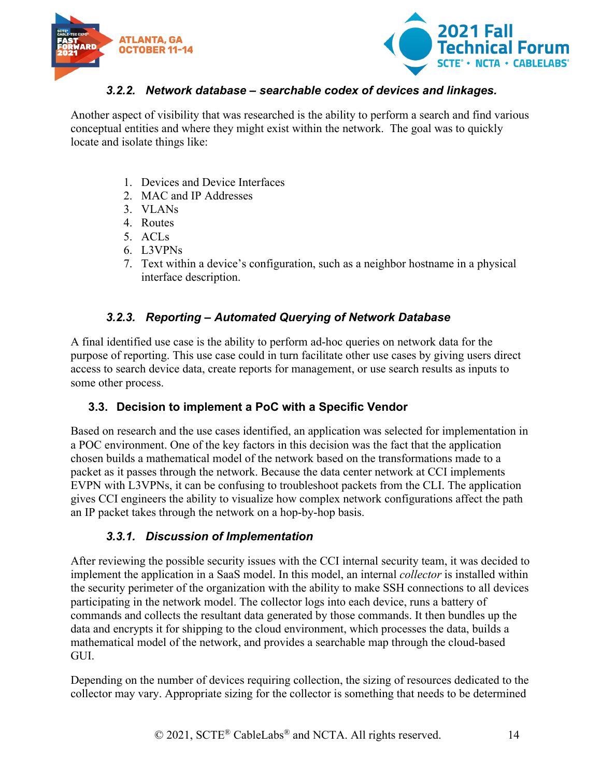



#### *3.2.2. Network database – searchable codex of devices and linkages.*

<span id="page-13-0"></span>Another aspect of visibility that was researched is the ability to perform a search and find various conceptual entities and where they might exist within the network. The goal was to quickly locate and isolate things like:

- 1. Devices and Device Interfaces
- 2. MAC and IP Addresses
- 3. VLANs
- 4. Routes
- 5. ACLs
- 6. L3VPNs
- 7. Text within a device's configuration, such as a neighbor hostname in a physical interface description.

# *3.2.3. Reporting – Automated Querying of Network Database*

<span id="page-13-1"></span>A final identified use case is the ability to perform ad-hoc queries on network data for the purpose of reporting. This use case could in turn facilitate other use cases by giving users direct access to search device data, create reports for management, or use search results as inputs to some other process.

#### <span id="page-13-2"></span>**3.3. Decision to implement a PoC with a Specific Vendor**

Based on research and the use cases identified, an application was selected for implementation in a POC environment. One of the key factors in this decision was the fact that the application chosen builds a mathematical model of the network based on the transformations made to a packet as it passes through the network. Because the data center network at CCI implements EVPN with L3VPNs, it can be confusing to troubleshoot packets from the CLI. The application gives CCI engineers the ability to visualize how complex network configurations affect the path an IP packet takes through the network on a hop-by-hop basis.

#### *3.3.1. Discussion of Implementation*

<span id="page-13-3"></span>After reviewing the possible security issues with the CCI internal security team, it was decided to implement the application in a SaaS model. In this model, an internal *collector* is installed within the security perimeter of the organization with the ability to make SSH connections to all devices participating in the network model. The collector logs into each device, runs a battery of commands and collects the resultant data generated by those commands. It then bundles up the data and encrypts it for shipping to the cloud environment, which processes the data, builds a mathematical model of the network, and provides a searchable map through the cloud-based GUI.

Depending on the number of devices requiring collection, the sizing of resources dedicated to the collector may vary. Appropriate sizing for the collector is something that needs to be determined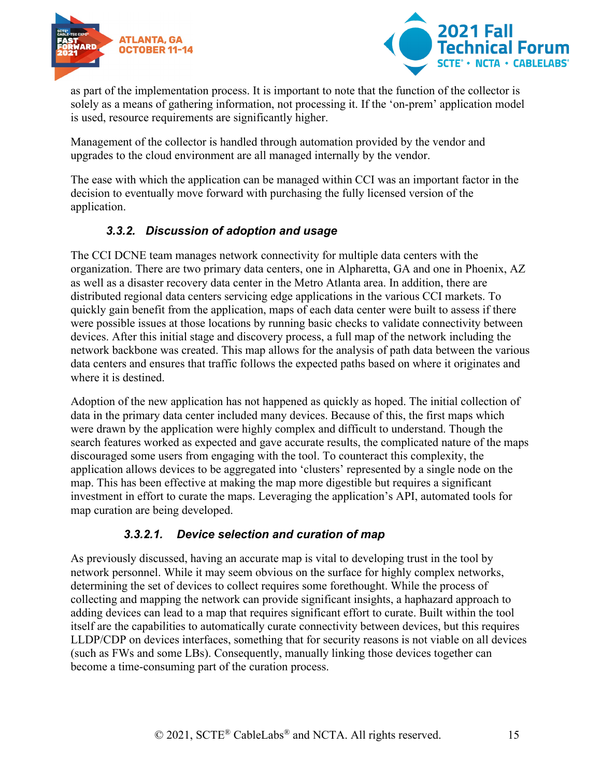



as part of the implementation process. It is important to note that the function of the collector is solely as a means of gathering information, not processing it. If the 'on-prem' application model is used, resource requirements are significantly higher.

Management of the collector is handled through automation provided by the vendor and upgrades to the cloud environment are all managed internally by the vendor.

The ease with which the application can be managed within CCI was an important factor in the decision to eventually move forward with purchasing the fully licensed version of the application.

#### *3.3.2. Discussion of adoption and usage*

<span id="page-14-0"></span>The CCI DCNE team manages network connectivity for multiple data centers with the organization. There are two primary data centers, one in Alpharetta, GA and one in Phoenix, AZ as well as a disaster recovery data center in the Metro Atlanta area. In addition, there are distributed regional data centers servicing edge applications in the various CCI markets. To quickly gain benefit from the application, maps of each data center were built to assess if there were possible issues at those locations by running basic checks to validate connectivity between devices. After this initial stage and discovery process, a full map of the network including the network backbone was created. This map allows for the analysis of path data between the various data centers and ensures that traffic follows the expected paths based on where it originates and where it is destined.

Adoption of the new application has not happened as quickly as hoped. The initial collection of data in the primary data center included many devices. Because of this, the first maps which were drawn by the application were highly complex and difficult to understand. Though the search features worked as expected and gave accurate results, the complicated nature of the maps discouraged some users from engaging with the tool. To counteract this complexity, the application allows devices to be aggregated into 'clusters' represented by a single node on the map. This has been effective at making the map more digestible but requires a significant investment in effort to curate the maps. Leveraging the application's API, automated tools for map curation are being developed.

#### *3.3.2.1. Device selection and curation of map*

As previously discussed, having an accurate map is vital to developing trust in the tool by network personnel. While it may seem obvious on the surface for highly complex networks, determining the set of devices to collect requires some forethought. While the process of collecting and mapping the network can provide significant insights, a haphazard approach to adding devices can lead to a map that requires significant effort to curate. Built within the tool itself are the capabilities to automatically curate connectivity between devices, but this requires LLDP/CDP on devices interfaces, something that for security reasons is not viable on all devices (such as FWs and some LBs). Consequently, manually linking those devices together can become a time-consuming part of the curation process.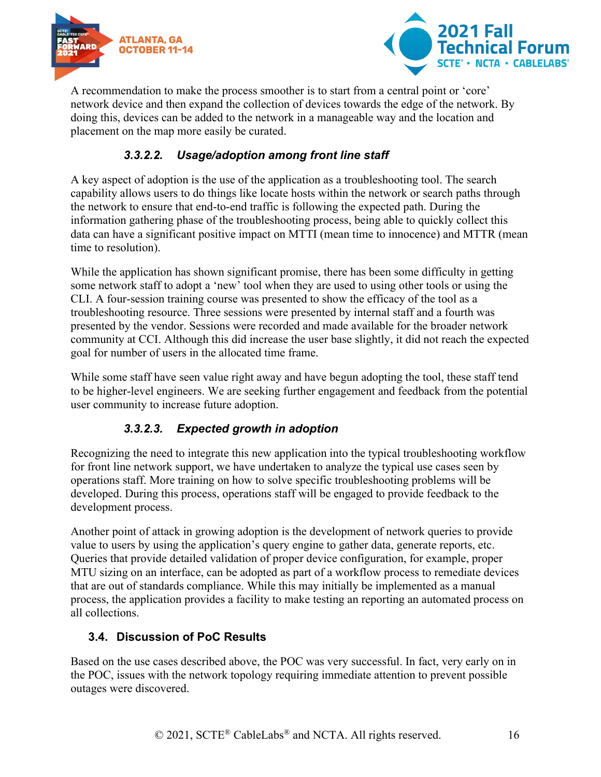



A recommendation to make the process smoother is to start from a central point or 'core' network device and then expand the collection of devices towards the edge of the network. By doing this, devices can be added to the network in a manageable way and the location and placement on the map more easily be curated.

# *3.3.2.2. Usage/adoption among front line staff*

A key aspect of adoption is the use of the application as a troubleshooting tool. The search capability allows users to do things like locate hosts within the network or search paths through the network to ensure that end-to-end traffic is following the expected path. During the information gathering phase of the troubleshooting process, being able to quickly collect this data can have a significant positive impact on MTTI (mean time to innocence) and MTTR (mean time to resolution).

While the application has shown significant promise, there has been some difficulty in getting some network staff to adopt a 'new' tool when they are used to using other tools or using the CLI. A four-session training course was presented to show the efficacy of the tool as a troubleshooting resource. Three sessions were presented by internal staff and a fourth was presented by the vendor. Sessions were recorded and made available for the broader network community at CCI. Although this did increase the user base slightly, it did not reach the expected goal for number of users in the allocated time frame.

While some staff have seen value right away and have begun adopting the tool, these staff tend to be higher-level engineers. We are seeking further engagement and feedback from the potential user community to increase future adoption.

# *3.3.2.3. Expected growth in adoption*

Recognizing the need to integrate this new application into the typical troubleshooting workflow for front line network support, we have undertaken to analyze the typical use cases seen by operations staff. More training on how to solve specific troubleshooting problems will be developed. During this process, operations staff will be engaged to provide feedback to the development process.

Another point of attack in growing adoption is the development of network queries to provide value to users by using the application's query engine to gather data, generate reports, etc. Queries that provide detailed validation of proper device configuration, for example, proper MTU sizing on an interface, can be adopted as part of a workflow process to remediate devices that are out of standards compliance. While this may initially be implemented as a manual process, the application provides a facility to make testing an reporting an automated process on all collections.

# <span id="page-15-0"></span>**3.4. Discussion of PoC Results**

Based on the use cases described above, the POC was very successful. In fact, very early on in the POC, issues with the network topology requiring immediate attention to prevent possible outages were discovered.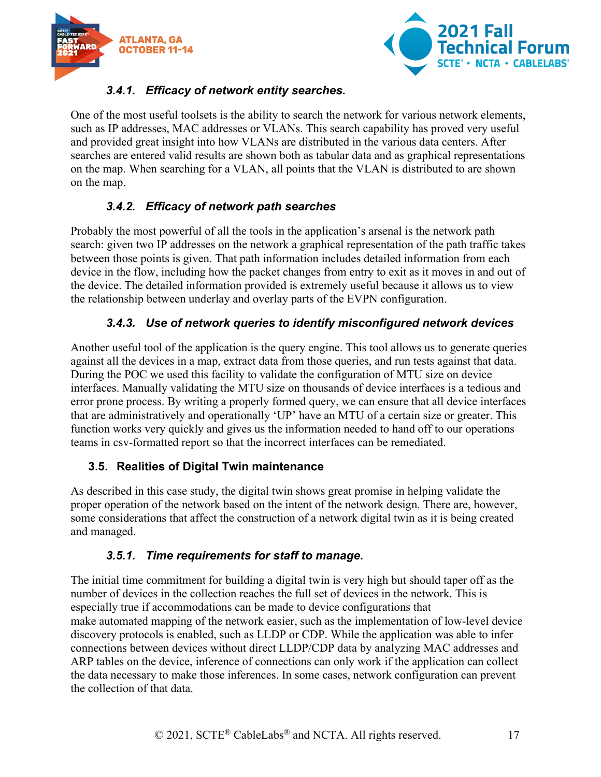



# *3.4.1. Efficacy of network entity searches.*

<span id="page-16-0"></span>One of the most useful toolsets is the ability to search the network for various network elements, such as IP addresses, MAC addresses or VLANs. This search capability has proved very useful and provided great insight into how VLANs are distributed in the various data centers. After searches are entered valid results are shown both as tabular data and as graphical representations on the map. When searching for a VLAN, all points that the VLAN is distributed to are shown on the map.

# *3.4.2. Efficacy of network path searches*

<span id="page-16-1"></span>Probably the most powerful of all the tools in the application's arsenal is the network path search: given two IP addresses on the network a graphical representation of the path traffic takes between those points is given. That path information includes detailed information from each device in the flow, including how the packet changes from entry to exit as it moves in and out of the device. The detailed information provided is extremely useful because it allows us to view the relationship between underlay and overlay parts of the EVPN configuration.

# *3.4.3. Use of network queries to identify misconfigured network devices*

<span id="page-16-2"></span>Another useful tool of the application is the query engine. This tool allows us to generate queries against all the devices in a map, extract data from those queries, and run tests against that data. During the POC we used this facility to validate the configuration of MTU size on device interfaces. Manually validating the MTU size on thousands of device interfaces is a tedious and error prone process. By writing a properly formed query, we can ensure that all device interfaces that are administratively and operationally 'UP' have an MTU of a certain size or greater. This function works very quickly and gives us the information needed to hand off to our operations teams in csv-formatted report so that the incorrect interfaces can be remediated.

# <span id="page-16-3"></span>**3.5. Realities of Digital Twin maintenance**

As described in this case study, the digital twin shows great promise in helping validate the proper operation of the network based on the intent of the network design. There are, however, some considerations that affect the construction of a network digital twin as it is being created and managed.

#### *3.5.1. Time requirements for staff to manage.*

<span id="page-16-4"></span>The initial time commitment for building a digital twin is very high but should taper off as the number of devices in the collection reaches the full set of devices in the network. This is especially true if accommodations can be made to device configurations that make automated mapping of the network easier, such as the implementation of low-level device discovery protocols is enabled, such as LLDP or CDP. While the application was able to infer connections between devices without direct LLDP/CDP data by analyzing MAC addresses and ARP tables on the device, inference of connections can only work if the application can collect the data necessary to make those inferences. In some cases, network configuration can prevent the collection of that data.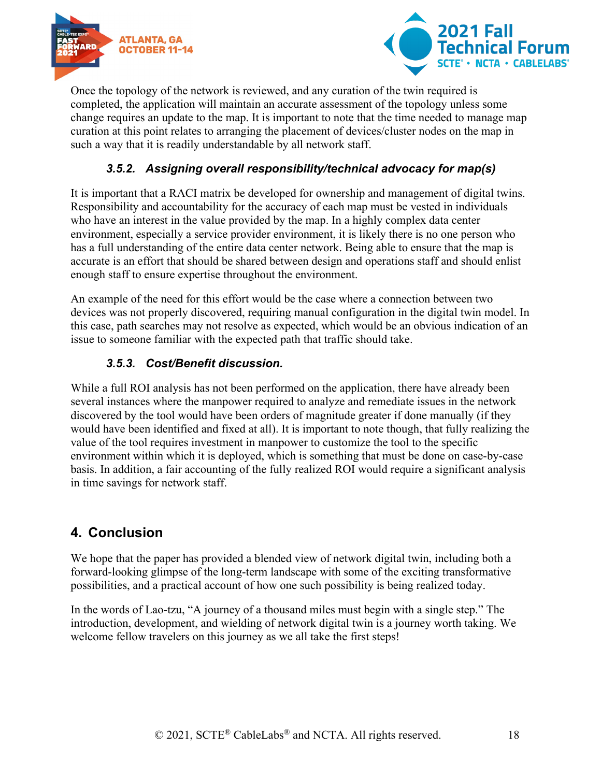



Once the topology of the network is reviewed, and any curation of the twin required is completed, the application will maintain an accurate assessment of the topology unless some change requires an update to the map. It is important to note that the time needed to manage map curation at this point relates to arranging the placement of devices/cluster nodes on the map in such a way that it is readily understandable by all network staff.

# *3.5.2. Assigning overall responsibility/technical advocacy for map(s)*

<span id="page-17-0"></span>It is important that a RACI matrix be developed for ownership and management of digital twins. Responsibility and accountability for the accuracy of each map must be vested in individuals who have an interest in the value provided by the map. In a highly complex data center environment, especially a service provider environment, it is likely there is no one person who has a full understanding of the entire data center network. Being able to ensure that the map is accurate is an effort that should be shared between design and operations staff and should enlist enough staff to ensure expertise throughout the environment.

An example of the need for this effort would be the case where a connection between two devices was not properly discovered, requiring manual configuration in the digital twin model. In this case, path searches may not resolve as expected, which would be an obvious indication of an issue to someone familiar with the expected path that traffic should take.

#### *3.5.3. Cost/Benefit discussion.*

<span id="page-17-1"></span>While a full ROI analysis has not been performed on the application, there have already been several instances where the manpower required to analyze and remediate issues in the network discovered by the tool would have been orders of magnitude greater if done manually (if they would have been identified and fixed at all). It is important to note though, that fully realizing the value of the tool requires investment in manpower to customize the tool to the specific environment within which it is deployed, which is something that must be done on case-by-case basis. In addition, a fair accounting of the fully realized ROI would require a significant analysis in time savings for network staff.

# <span id="page-17-2"></span>**4. Conclusion**

We hope that the paper has provided a blended view of network digital twin, including both a forward-looking glimpse of the long-term landscape with some of the exciting transformative possibilities, and a practical account of how one such possibility is being realized today.

In the words of Lao-tzu, "A journey of a thousand miles must begin with a single step." The introduction, development, and wielding of network digital twin is a journey worth taking. We welcome fellow travelers on this journey as we all take the first steps!